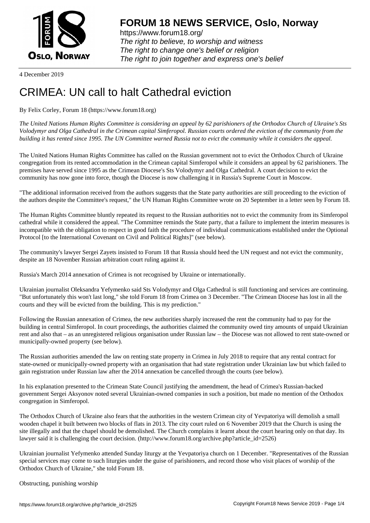

https://www.forum18.org/ The right to believe, to worship and witness The right to change one's belief or religion [The right to join together a](https://www.forum18.org/)nd express one's belief

4 December 2019

## [CRIMEA: UN ca](https://www.forum18.org)ll to halt Cathedral eviction

By Felix Corley, Forum 18 (https://www.forum18.org)

*The United Nations Human Rights Committee is considering an appeal by 62 parishioners of the Orthodox Church of Ukraine's Sts Volodymyr and Olga Cathedral in the Crimean capital Simferopol. Russian courts ordered the eviction of the community from the building it has rented since 1995. The UN Committee warned Russia not to evict the community while it considers the appeal.*

The United Nations Human Rights Committee has called on the Russian government not to evict the Orthodox Church of Ukraine congregation from its rented accommodation in the Crimean capital Simferopol while it considers an appeal by 62 parishioners. The premises have served since 1995 as the Crimean Diocese's Sts Volodymyr and Olga Cathedral. A court decision to evict the community has now gone into force, though the Diocese is now challenging it in Russia's Supreme Court in Moscow.

"The additional information received from the authors suggests that the State party authorities are still proceeding to the eviction of the authors despite the Committee's request," the UN Human Rights Committee wrote on 20 September in a letter seen by Forum 18.

The Human Rights Committee bluntly repeated its request to the Russian authorities not to evict the community from its Simferopol cathedral while it considered the appeal. "The Committee reminds the State party, that a failure to implement the interim measures is incompatible with the obligation to respect in good faith the procedure of individual communications established under the Optional Protocol [to the International Covenant on Civil and Political Rights]" (see below).

The community's lawyer Sergei Zayets insisted to Forum 18 that Russia should heed the UN request and not evict the community, despite an 18 November Russian arbitration court ruling against it.

Russia's March 2014 annexation of Crimea is not recognised by Ukraine or internationally.

Ukrainian journalist Oleksandra Yefymenko said Sts Volodymyr and Olga Cathedral is still functioning and services are continuing. "But unfortunately this won't last long," she told Forum 18 from Crimea on 3 December. "The Crimean Diocese has lost in all the courts and they will be evicted from the building. This is my prediction."

Following the Russian annexation of Crimea, the new authorities sharply increased the rent the community had to pay for the building in central Simferopol. In court proceedings, the authorities claimed the community owed tiny amounts of unpaid Ukrainian rent and also that – as an unregistered religious organisation under Russian law – the Diocese was not allowed to rent state-owned or municipally-owned property (see below).

The Russian authorities amended the law on renting state property in Crimea in July 2018 to require that any rental contract for state-owned or municipally-owned property with an organisation that had state registration under Ukrainian law but which failed to gain registration under Russian law after the 2014 annexation be cancelled through the courts (see below).

In his explanation presented to the Crimean State Council justifying the amendment, the head of Crimea's Russian-backed government Sergei Aksyonov noted several Ukrainian-owned companies in such a position, but made no mention of the Orthodox congregation in Simferopol.

The Orthodox Church of Ukraine also fears that the authorities in the western Crimean city of Yevpatoriya will demolish a small wooden chapel it built between two blocks of flats in 2013. The city court ruled on 6 November 2019 that the Church is using the site illegally and that the chapel should be demolished. The Church complains it learnt about the court hearing only on that day. Its lawyer said it is challenging the court decision. (http://www.forum18.org/archive.php?article\_id=2526)

Ukrainian journalist Yefymenko attended Sunday liturgy at the Yevpatoriya church on 1 December. "Representatives of the Russian special services may come to such liturgies under the guise of parishioners, and record those who visit places of worship of the Orthodox Church of Ukraine," she told Forum 18.

Obstructing, punishing worship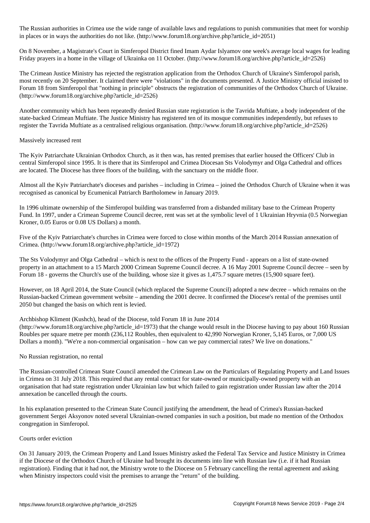The Russian authorities in  $\omega$  range of available laws and regulations that meet for worships that meet for worships that meet for worships that meet for worships that meet for worships that meet for worships that meet f in places or in ways the authorities do not like. (http://www.forum18.org/archive.php?article\_id=2051)

On 8 November, a Magistrate's Court in Simferopol District fined Imam Aydar Islyamov one week's average local wages for leading Friday prayers in a home in the village of Ukrainka on 11 October. (http://www.forum18.org/archive.php?article\_id=2526)

The Crimean Justice Ministry has rejected the registration application from the Orthodox Church of Ukraine's Simferopol parish, most recently on 20 September. It claimed there were "violations" in the documents presented. A Justice Ministry official insisted to Forum 18 from Simferopol that "nothing in principle" obstructs the registration of communities of the Orthodox Church of Ukraine. (http://www.forum18.org/archive.php?article\_id=2526)

Another community which has been repeatedly denied Russian state registration is the Tavrida Muftiate, a body independent of the state-backed Crimean Muftiate. The Justice Ministry has registered ten of its mosque communities independently, but refuses to register the Tavrida Muftiate as a centralised religious organisation. (http://www.forum18.org/archive.php?article\_id=2526)

## Massively increased rent

The Kyiv Patriarchate Ukrainian Orthodox Church, as it then was, has rented premises that earlier housed the Officers' Club in central Simferopol since 1995. It is there that its Simferopol and Crimea Diocesan Sts Volodymyr and Olga Cathedral and offices are located. The Diocese has three floors of the building, with the sanctuary on the middle floor.

Almost all the Kyiv Patriarchate's dioceses and parishes – including in Crimea – joined the Orthodox Church of Ukraine when it was recognised as canonical by Ecumenical Patriarch Bartholomew in January 2019.

In 1996 ultimate ownership of the Simferopol building was transferred from a disbanded military base to the Crimean Property Fund. In 1997, under a Crimean Supreme Council decree, rent was set at the symbolic level of 1 Ukrainian Hryvnia (0.5 Norwegian Kroner, 0.05 Euros or 0.08 US Dollars) a month.

Five of the Kyiv Patriarchate's churches in Crimea were forced to close within months of the March 2014 Russian annexation of Crimea. (http://www.forum18.org/archive.php?article\_id=1972)

The Sts Volodymyr and Olga Cathedral – which is next to the offices of the Property Fund - appears on a list of state-owned property in an attachment to a 15 March 2000 Crimean Supreme Council decree. A 16 May 2001 Supreme Council decree – seen by Forum 18 - governs the Church's use of the building, whose size it gives as 1,475.7 square metres (15,900 square feet).

However, on 18 April 2014, the State Council (which replaced the Supreme Council) adopted a new decree – which remains on the Russian-backed Crimean government website – amending the 2001 decree. It confirmed the Diocese's rental of the premises until 2050 but changed the basis on which rent is levied.

## Archbishop Kliment (Kushch), head of the Diocese, told Forum 18 in June 2014

(http://www.forum18.org/archive.php?article\_id=1973) that the change would result in the Diocese having to pay about 160 Russian Roubles per square metre per month (236,112 Roubles, then equivalent to 42,990 Norwegian Kroner, 5,145 Euros, or 7,000 US Dollars a month). "We're a non-commercial organisation – how can we pay commercial rates? We live on donations."

No Russian registration, no rental

The Russian-controlled Crimean State Council amended the Crimean Law on the Particulars of Regulating Property and Land Issues in Crimea on 31 July 2018. This required that any rental contract for state-owned or municipally-owned property with an organisation that had state registration under Ukrainian law but which failed to gain registration under Russian law after the 2014 annexation be cancelled through the courts.

In his explanation presented to the Crimean State Council justifying the amendment, the head of Crimea's Russian-backed government Sergei Aksyonov noted several Ukrainian-owned companies in such a position, but made no mention of the Orthodox congregation in Simferopol.

## Courts order eviction

On 31 January 2019, the Crimean Property and Land Issues Ministry asked the Federal Tax Service and Justice Ministry in Crimea if the Diocese of the Orthodox Church of Ukraine had brought its documents into line with Russian law (i.e. if it had Russian registration). Finding that it had not, the Ministry wrote to the Diocese on 5 February cancelling the rental agreement and asking when Ministry inspectors could visit the premises to arrange the "return" of the building.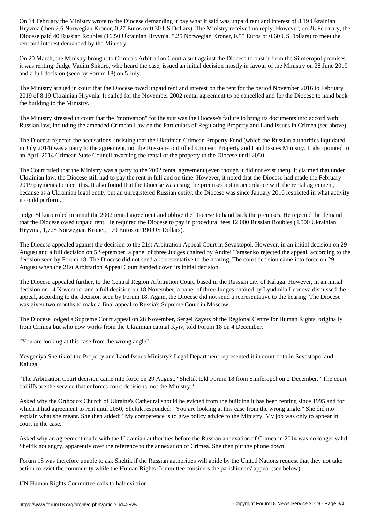Hryvnia (then 2.6 Norwegian Kroner, 0.27 Euros or 0.30 US Dollars). The Ministry received no reply. However, on 26 February, the Diocese paid 40 Russian Roubles (16.50 Ukrainian Hryvnia, 5.25 Norwegian Kroner, 0.55 Euros or 0.60 US Dollars) to meet the rent and interest demanded by the Ministry.

On 20 March, the Ministry brought to Crimea's Arbitration Court a suit against the Diocese to oust it from the Simferopol premises it was renting. Judge Vadim Shkuro, who heard the case, issued an initial decision mostly in favour of the Ministry on 28 June 2019 and a full decision (seen by Forum 18) on 5 July.

The Ministry argued in court that the Diocese owed unpaid rent and interest on the rent for the period November 2016 to February 2019 of 8.19 Ukrainian Hryvnia. It called for the November 2002 rental agreement to be cancelled and for the Diocese to hand back the building to the Ministry.

The Ministry stressed in court that the "motivation" for the suit was the Diocese's failure to bring its documents into accord with Russian law, including the amended Crimean Law on the Particulars of Regulating Property and Land Issues in Crimea (see above).

The Diocese rejected the accusations, insisting that the Ukrainian Crimean Property Fund (which the Russian authorities liquidated in July 2014) was a party to the agreement, not the Russian-controlled Crimean Property and Land Issues Ministry. It also pointed to an April 2014 Crimean State Council awarding the rental of the property to the Diocese until 2050.

The Court ruled that the Ministry was a party to the 2002 rental agreement (even though it did not exist then). It claimed that under Ukrainian law, the Diocese still had to pay the rent in full and on time. However, it noted that the Diocese had made the February 2019 payments to meet this. It also found that the Diocese was using the premises not in accordance with the rental agreement, because as a Ukrainian legal entity but an unregistered Russian entity, the Diocese was since January 2016 restricted in what activity it could perform.

Judge Shkuro ruled to annul the 2002 rental agreement and oblige the Diocese to hand back the premises. He rejected the demand that the Diocese owed unpaid rent. He required the Diocese to pay in procedural fees 12,000 Russian Roubles (4,500 Ukrainian Hryvnia, 1,725 Norwegian Kroner, 170 Euros or 190 US Dollars).

The Diocese appealed against the decision to the 21st Arbitration Appeal Court in Sevastopol. However, in an initial decision on 29 August and a full decision on 5 September, a panel of three Judges chaired by Andrei Tarasenko rejected the appeal, according to the decision seen by Forum 18. The Diocese did not send a representative to the hearing. The court decision came into force on 29 August when the 21st Arbitration Appeal Court handed down its initial decision.

The Diocese appealed further, to the Central Region Arbitration Court, based in the Russian city of Kaluga. However, in an initial decision on 14 November and a full decision on 18 November, a panel of three Judges chaired by Lyudmila Leonova dismissed the appeal, according to the decision seen by Forum 18. Again, the Diocese did not send a representative to the hearing. The Diocese was given two months to make a final appeal to Russia's Supreme Court in Moscow.

The Diocese lodged a Supreme Court appeal on 28 November, Sergei Zayets of the Regional Centre for Human Rights, originally from Crimea but who now works from the Ukrainian capital Kyiv, told Forum 18 on 4 December.

"You are looking at this case from the wrong angle"

Yevgeniya Sheltik of the Property and Land Issues Ministry's Legal Department represented it in court both in Sevastopol and Kaluga.

"The Arbitration Court decision came into force on 29 August," Sheltik told Forum 18 from Simferopol on 2 December. "The court bailiffs are the service that enforces court decisions, not the Ministry."

Asked why the Orthodox Church of Ukraine's Cathedral should be evicted from the building it has been renting since 1995 and for which it had agreement to rent until 2050, Sheltik responded: "You are looking at this case from the wrong angle." She did nto explain what she meant. She then added: "My competence is to give policy advice to the Ministry. My job was only to appear in court in the case."

Asked why an agreement made with the Ukrainian authorities before the Russian annexation of Crimea in 2014 was no longer valid, Sheltik got angry, apparently over the reference to the annexation of Crimea. She then put the phone down.

Forum 18 was therefore unable to ask Sheltik if the Russian authorities will abide by the United Nations request that they not take action to evict the community while the Human Rights Committee considers the parishioners' appeal (see below).

UN Human Rights Committee calls to halt eviction